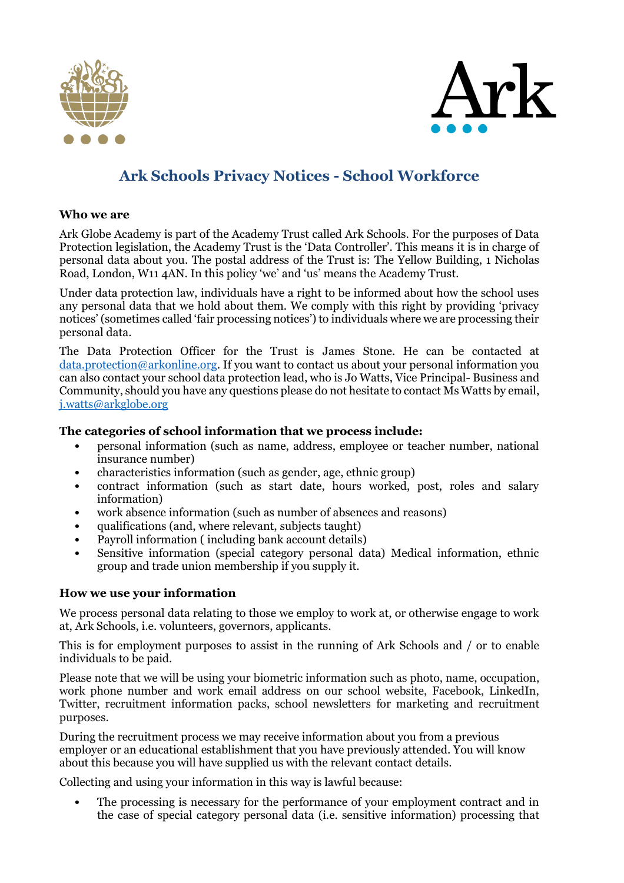



# **Ark Schools Privacy Notices - School Workforce**

#### **Who we are**

Ark Globe Academy is part of the Academy Trust called Ark Schools. For the purposes of Data Protection legislation, the Academy Trust is the 'Data Controller'. This means it is in charge of personal data about you. The postal address of the Trust is: The Yellow Building, 1 Nicholas Road, London, W11 4AN. In this policy 'we' and 'us' means the Academy Trust.

Under data protection law, individuals have a right to be informed about how the school uses any personal data that we hold about them. We comply with this right by providing 'privacy notices' (sometimes called 'fair processing notices') to individuals where we are processing their personal data.

The Data Protection Officer for the Trust is James Stone. He can be contacted at [data.protection@arkonline.org.](mailto:janine.white@arkonline.org) If you want to contact us about your personal information you can also contact your school data protection lead, who is Jo Watts, Vice Principal- Business and Community, should you have any questions please do not hesitate to contact Ms Watts by email, [j.watts@arkglobe.org](mailto:j.watts@globeacademy.org) 

#### **The categories of school information that we process include:**

- personal information (such as name, address, employee or teacher number, national insurance number)
- characteristics information (such as gender, age, ethnic group)
- contract information (such as start date, hours worked, post, roles and salary information)
- work absence information (such as number of absences and reasons)
- qualifications (and, where relevant, subjects taught)
- Payroll information (including bank account details)
- Sensitive information (special category personal data) Medical information, ethnic group and trade union membership if you supply it.

#### **How we use your information**

We process personal data relating to those we employ to work at, or otherwise engage to work at, Ark Schools, i.e. volunteers, governors, applicants.

This is for employment purposes to assist in the running of Ark Schools and / or to enable individuals to be paid.

Please note that we will be using your biometric information such as photo, name, occupation, work phone number and work email address on our school website, Facebook, LinkedIn, Twitter, recruitment information packs, school newsletters for marketing and recruitment purposes.

During the recruitment process we may receive information about you from a previous employer or an educational establishment that you have previously attended. You will know about this because you will have supplied us with the relevant contact details.

Collecting and using your information in this way is lawful because:

• The processing is necessary for the performance of your employment contract and in the case of special category personal data (i.e. sensitive information) processing that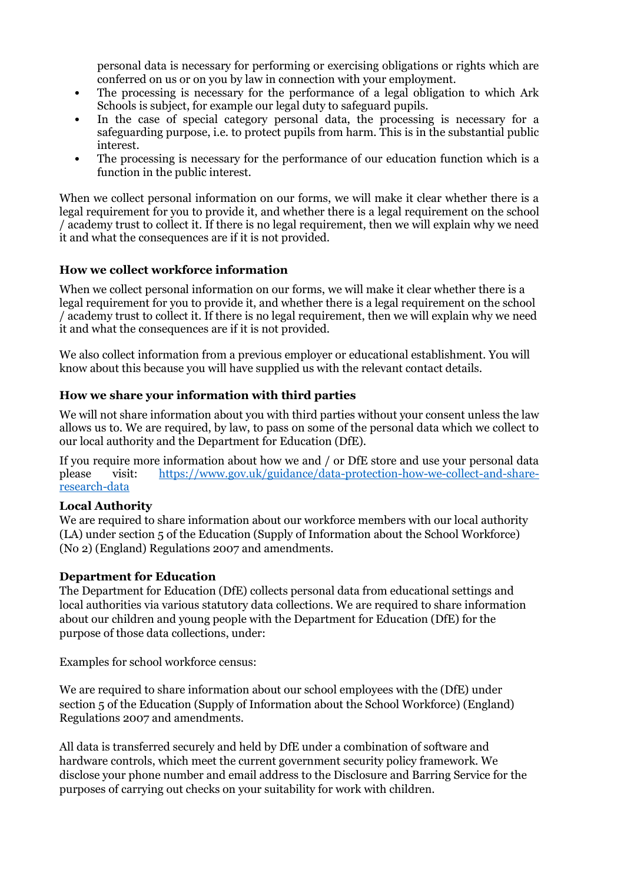personal data is necessary for performing or exercising obligations or rights which are conferred on us or on you by law in connection with your employment.

- The processing is necessary for the performance of a legal obligation to which Ark Schools is subject, for example our legal duty to safeguard pupils.
- In the case of special category personal data, the processing is necessary for a safeguarding purpose, i.e. to protect pupils from harm. This is in the substantial public interest.
- The processing is necessary for the performance of our education function which is a function in the public interest.

When we collect personal information on our forms, we will make it clear whether there is a legal requirement for you to provide it, and whether there is a legal requirement on the school / academy trust to collect it. If there is no legal requirement, then we will explain why we need it and what the consequences are if it is not provided.

### **How we collect workforce information**

When we collect personal information on our forms, we will make it clear whether there is a legal requirement for you to provide it, and whether there is a legal requirement on the school / academy trust to collect it. If there is no legal requirement, then we will explain why we need it and what the consequences are if it is not provided.

We also collect information from a previous employer or educational establishment. You will know about this because you will have supplied us with the relevant contact details.

#### **How we share your information with third parties**

We will not share information about you with third parties without your consent unless the law allows us to. We are required, by law, to pass on some of the personal data which we collect to our local authority and the Department for Education (DfE).

If you require more information about how we and / or DfE store and use your personal data please visit: [https://www.gov.uk/guidance/data-protection-how-we-collect-and-share](https://www.gov.uk/guidance/data-protection-how-we-collect-and-share-research-data)[research-data](https://www.gov.uk/guidance/data-protection-how-we-collect-and-share-research-data)

#### **Local Authority**

We are required to share information about our workforce members with our local authority (LA) under section 5 of the Education (Supply of Information about the School Workforce) (No 2) (England) Regulations 2007 and amendments.

#### **Department for Education**

The Department for Education (DfE) collects personal data from educational settings and local authorities via various statutory data collections. We are required to share information about our children and young people with the Department for Education (DfE) for the purpose of those data collections, under:

Examples for school workforce census:

We are required to share information about our school employees with the (DfE) under section 5 of the Education (Supply of Information about the School Workforce) (England) Regulations 2007 and amendments.

All data is transferred securely and held by DfE under a combination of software and hardware controls, which meet the current government security policy framework. We disclose your phone number and email address to the Disclosure and Barring Service for the purposes of carrying out checks on your suitability for work with children.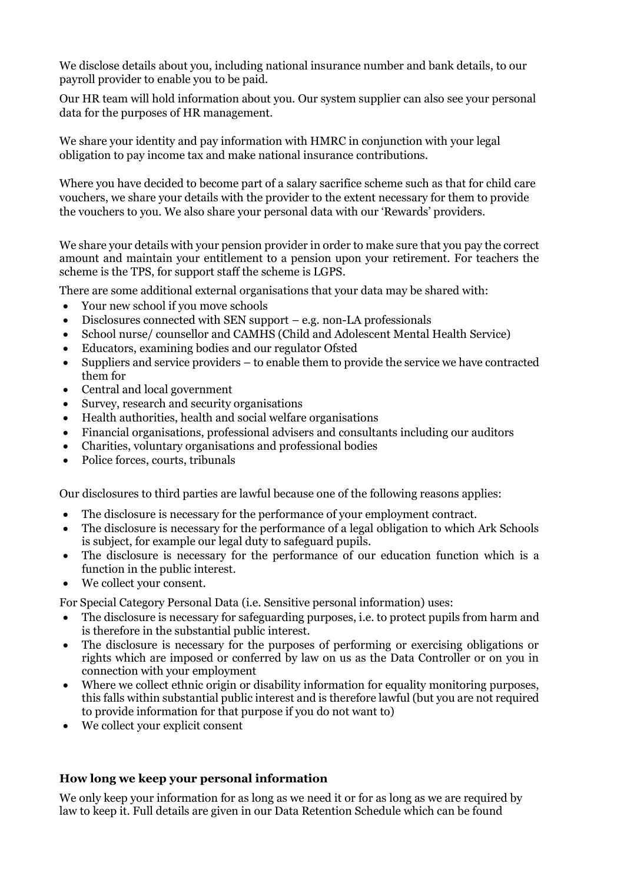We disclose details about you, including national insurance number and bank details, to our payroll provider to enable you to be paid.

Our HR team will hold information about you. Our system supplier can also see your personal data for the purposes of HR management.

We share your identity and pay information with HMRC in conjunction with your legal obligation to pay income tax and make national insurance contributions.

Where you have decided to become part of a salary sacrifice scheme such as that for child care vouchers, we share your details with the provider to the extent necessary for them to provide the vouchers to you. We also share your personal data with our 'Rewards' providers.

We share your details with your pension provider in order to make sure that you pay the correct amount and maintain your entitlement to a pension upon your retirement. For teachers the scheme is the TPS, for support staff the scheme is LGPS.

There are some additional external organisations that your data may be shared with:

- Your new school if you move schools
- Disclosures connected with SEN support e.g. non-LA professionals
- School nurse/ counsellor and CAMHS (Child and Adolescent Mental Health Service)
- Educators, examining bodies and our regulator Ofsted
- Suppliers and service providers to enable them to provide the service we have contracted them for
- Central and local government
- Survey, research and security organisations
- Health authorities, health and social welfare organisations
- Financial organisations, professional advisers and consultants including our auditors
- Charities, voluntary organisations and professional bodies
- Police forces, courts, tribunals

Our disclosures to third parties are lawful because one of the following reasons applies:

- The disclosure is necessary for the performance of your employment contract.
- The disclosure is necessary for the performance of a legal obligation to which Ark Schools is subject, for example our legal duty to safeguard pupils.
- The disclosure is necessary for the performance of our education function which is a function in the public interest.
- We collect your consent.

For Special Category Personal Data (i.e. Sensitive personal information) uses:

- The disclosure is necessary for safeguarding purposes, i.e. to protect pupils from harm and is therefore in the substantial public interest.
- The disclosure is necessary for the purposes of performing or exercising obligations or rights which are imposed or conferred by law on us as the Data Controller or on you in connection with your employment
- Where we collect ethnic origin or disability information for equality monitoring purposes, this falls within substantial public interest and is therefore lawful (but you are not required to provide information for that purpose if you do not want to)
- We collect your explicit consent

## **How long we keep your personal information**

We only keep your information for as long as we need it or for as long as we are required by law to keep it. Full details are given in our Data Retention Schedule which can be found